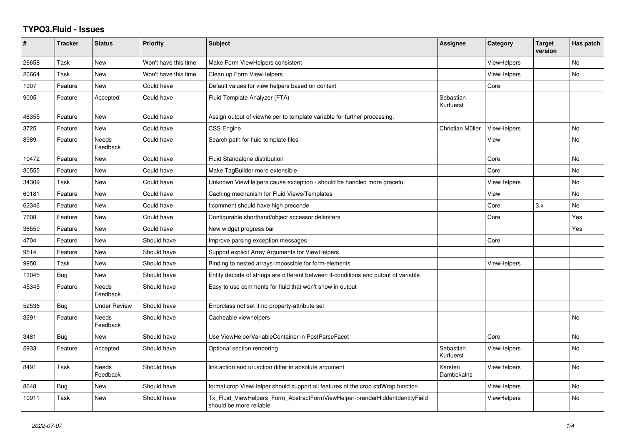## **TYPO3.Fluid - Issues**

| #     | <b>Tracker</b> | <b>Status</b>       | <b>Priority</b>      | <b>Subject</b>                                                                                         | Assignee               | Category           | <b>Target</b><br>version | Has patch |
|-------|----------------|---------------------|----------------------|--------------------------------------------------------------------------------------------------------|------------------------|--------------------|--------------------------|-----------|
| 26658 | Task           | <b>New</b>          | Won't have this time | Make Form ViewHelpers consistent                                                                       |                        | <b>ViewHelpers</b> |                          | <b>No</b> |
| 26664 | Task           | New                 | Won't have this time | Clean up Form ViewHelpers                                                                              |                        | <b>ViewHelpers</b> |                          | <b>No</b> |
| 1907  | Feature        | New                 | Could have           | Default values for view helpers based on context                                                       |                        | Core               |                          |           |
| 9005  | Feature        | Accepted            | Could have           | Fluid Template Analyzer (FTA)                                                                          | Sebastian<br>Kurfuerst |                    |                          |           |
| 48355 | Feature        | New                 | Could have           | Assign output of viewhelper to template variable for further processing.                               |                        |                    |                          |           |
| 3725  | Feature        | New                 | Could have           | <b>CSS Engine</b>                                                                                      | Christian Müller       | <b>ViewHelpers</b> |                          | No        |
| 8989  | Feature        | Needs<br>Feedback   | Could have           | Search path for fluid template files                                                                   |                        | View               |                          | No        |
| 10472 | Feature        | New                 | Could have           | <b>Fluid Standalone distribution</b>                                                                   |                        | Core               |                          | <b>No</b> |
| 30555 | Feature        | <b>New</b>          | Could have           | Make TagBuilder more extensible                                                                        |                        | Core               |                          | No        |
| 34309 | Task           | <b>New</b>          | Could have           | Unknown ViewHelpers cause exception - should be handled more graceful                                  |                        | ViewHelpers        |                          | <b>No</b> |
| 60181 | Feature        | New                 | Could have           | Caching mechanism for Fluid Views/Templates                                                            |                        | View               |                          | No        |
| 62346 | Feature        | New                 | Could have           | f:comment should have high precende                                                                    |                        | Core               | 3.x                      | <b>No</b> |
| 7608  | Feature        | New                 | Could have           | Configurable shorthand/object accessor delimiters                                                      |                        | Core               |                          | Yes       |
| 36559 | Feature        | New                 | Could have           | New widget progress bar                                                                                |                        |                    |                          | Yes       |
| 4704  | Feature        | New                 | Should have          | Improve parsing exception messages                                                                     |                        | Core               |                          |           |
| 9514  | Feature        | New                 | Should have          | Support explicit Array Arguments for ViewHelpers                                                       |                        |                    |                          |           |
| 9950  | Task           | New                 | Should have          | Binding to nested arrays impossible for form-elements                                                  |                        | ViewHelpers        |                          |           |
| 13045 | Bug            | New                 | Should have          | Entity decode of strings are different between if-conditions and output of variable                    |                        |                    |                          |           |
| 45345 | Feature        | Needs<br>Feedback   | Should have          | Easy to use comments for fluid that won't show in output                                               |                        |                    |                          |           |
| 52536 | Bug            | <b>Under Review</b> | Should have          | Errorclass not set if no property-attribute set                                                        |                        |                    |                          |           |
| 3291  | Feature        | Needs<br>Feedback   | Should have          | Cacheable viewhelpers                                                                                  |                        |                    |                          | <b>No</b> |
| 3481  | Bug            | <b>New</b>          | Should have          | Use ViewHelperVariableContainer in PostParseFacet                                                      |                        | Core               |                          | <b>No</b> |
| 5933  | Feature        | Accepted            | Should have          | Optional section rendering                                                                             | Sebastian<br>Kurfuerst | ViewHelpers        |                          | <b>No</b> |
| 8491  | Task           | Needs<br>Feedback   | Should have          | link.action and uri.action differ in absolute argument                                                 | Karsten<br>Dambekalns  | <b>ViewHelpers</b> |                          | No        |
| 8648  | Bug            | New                 | Should have          | format.crop ViewHelper should support all features of the crop stdWrap function                        |                        | <b>ViewHelpers</b> |                          | No        |
| 10911 | Task           | New                 | Should have          | Tx_Fluid_ViewHelpers_Form_AbstractFormViewHelper->renderHiddenIdentityField<br>should be more reliable |                        | <b>ViewHelpers</b> |                          | <b>No</b> |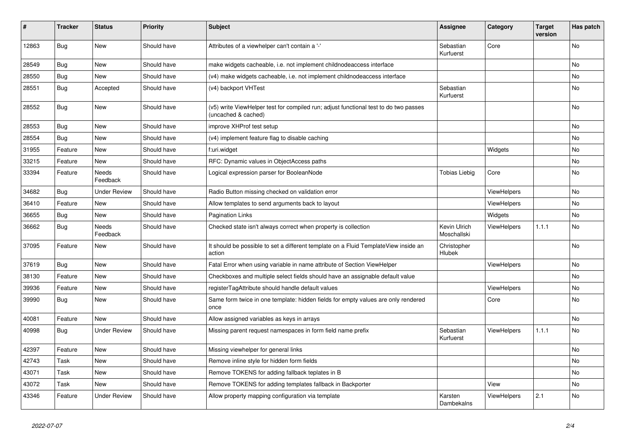| #     | <b>Tracker</b> | <b>Status</b>            | <b>Priority</b> | <b>Subject</b>                                                                                              | Assignee                    | Category           | Target<br>version | Has patch |
|-------|----------------|--------------------------|-----------------|-------------------------------------------------------------------------------------------------------------|-----------------------------|--------------------|-------------------|-----------|
| 12863 | <b>Bug</b>     | <b>New</b>               | Should have     | Attributes of a viewhelper can't contain a '-'                                                              | Sebastian<br>Kurfuerst      | Core               |                   | <b>No</b> |
| 28549 | Bug            | New                      | Should have     | make widgets cacheable, i.e. not implement childnodeaccess interface                                        |                             |                    |                   | No        |
| 28550 | Bug            | New                      | Should have     | (v4) make widgets cacheable, i.e. not implement childnodeaccess interface                                   |                             |                    |                   | No        |
| 28551 | <b>Bug</b>     | Accepted                 | Should have     | (v4) backport VHTest                                                                                        | Sebastian<br>Kurfuerst      |                    |                   | No        |
| 28552 | Bug            | <b>New</b>               | Should have     | (v5) write ViewHelper test for compiled run; adjust functional test to do two passes<br>(uncached & cached) |                             |                    |                   | No        |
| 28553 | <b>Bug</b>     | New                      | Should have     | improve XHProf test setup                                                                                   |                             |                    |                   | No        |
| 28554 | <b>Bug</b>     | <b>New</b>               | Should have     | (v4) implement feature flag to disable caching                                                              |                             |                    |                   | No        |
| 31955 | Feature        | <b>New</b>               | Should have     | f:uri.widget                                                                                                |                             | Widgets            |                   | No        |
| 33215 | Feature        | <b>New</b>               | Should have     | RFC: Dynamic values in ObjectAccess paths                                                                   |                             |                    |                   | No        |
| 33394 | Feature        | Needs<br>Feedback        | Should have     | Logical expression parser for BooleanNode                                                                   | Tobias Liebig               | Core               |                   | No        |
| 34682 | Bug            | <b>Under Review</b>      | Should have     | Radio Button missing checked on validation error                                                            |                             | ViewHelpers        |                   | No        |
| 36410 | Feature        | <b>New</b>               | Should have     | Allow templates to send arguments back to layout                                                            |                             | <b>ViewHelpers</b> |                   | No        |
| 36655 | <b>Bug</b>     | <b>New</b>               | Should have     | <b>Pagination Links</b>                                                                                     |                             | Widgets            |                   | No        |
| 36662 | Bug            | <b>Needs</b><br>Feedback | Should have     | Checked state isn't always correct when property is collection                                              | Kevin Ulrich<br>Moschallski | <b>ViewHelpers</b> | 1.1.1             | No        |
| 37095 | Feature        | New                      | Should have     | It should be possible to set a different template on a Fluid TemplateView inside an<br>action               | Christopher<br>Hlubek       |                    |                   | No        |
| 37619 | Bug            | New                      | Should have     | Fatal Error when using variable in name attribute of Section ViewHelper                                     |                             | ViewHelpers        |                   | No        |
| 38130 | Feature        | New                      | Should have     | Checkboxes and multiple select fields should have an assignable default value                               |                             |                    |                   | No        |
| 39936 | Feature        | New                      | Should have     | registerTagAttribute should handle default values                                                           |                             | ViewHelpers        |                   | No        |
| 39990 | <b>Bug</b>     | <b>New</b>               | Should have     | Same form twice in one template: hidden fields for empty values are only rendered<br>once                   |                             | Core               |                   | <b>No</b> |
| 40081 | Feature        | <b>New</b>               | Should have     | Allow assigned variables as keys in arrays                                                                  |                             |                    |                   | <b>No</b> |
| 40998 | Bug            | <b>Under Review</b>      | Should have     | Missing parent request namespaces in form field name prefix                                                 | Sebastian<br>Kurfuerst      | ViewHelpers        | 1.1.1             | <b>No</b> |
| 42397 | Feature        | <b>New</b>               | Should have     | Missing viewhelper for general links                                                                        |                             |                    |                   | <b>No</b> |
| 42743 | Task           | <b>New</b>               | Should have     | Remove inline style for hidden form fields                                                                  |                             |                    |                   | No        |
| 43071 | Task           | New                      | Should have     | Remove TOKENS for adding fallback teplates in B                                                             |                             |                    |                   | No        |
| 43072 | Task           | New                      | Should have     | Remove TOKENS for adding templates fallback in Backporter                                                   |                             | View               |                   | No        |
| 43346 | Feature        | <b>Under Review</b>      | Should have     | Allow property mapping configuration via template                                                           | Karsten<br>Dambekalns       | ViewHelpers        | 2.1               | No        |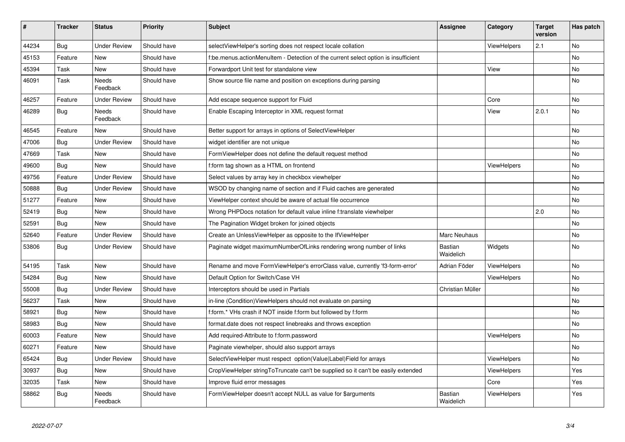| $\vert$ # | <b>Tracker</b> | <b>Status</b>            | <b>Priority</b> | <b>Subject</b>                                                                        | Assignee             | Category           | <b>Target</b><br>version | Has patch |
|-----------|----------------|--------------------------|-----------------|---------------------------------------------------------------------------------------|----------------------|--------------------|--------------------------|-----------|
| 44234     | Bug            | <b>Under Review</b>      | Should have     | selectViewHelper's sorting does not respect locale collation                          |                      | <b>ViewHelpers</b> | 2.1                      | <b>No</b> |
| 45153     | Feature        | New                      | Should have     | but the menus actionMenuItem - Detection of the current select option is insufficient |                      |                    |                          | <b>No</b> |
| 45394     | Task           | New                      | Should have     | Forwardport Unit test for standalone view                                             |                      | View               |                          | No        |
| 46091     | Task           | <b>Needs</b><br>Feedback | Should have     | Show source file name and position on exceptions during parsing                       |                      |                    |                          | No        |
| 46257     | Feature        | <b>Under Review</b>      | Should have     | Add escape sequence support for Fluid                                                 |                      | Core               |                          | <b>No</b> |
| 46289     | Bug            | Needs<br>Feedback        | Should have     | Enable Escaping Interceptor in XML request format                                     |                      | View               | 2.0.1                    | No        |
| 46545     | Feature        | New                      | Should have     | Better support for arrays in options of SelectViewHelper                              |                      |                    |                          | <b>No</b> |
| 47006     | Bug            | <b>Under Review</b>      | Should have     | widget identifier are not unique                                                      |                      |                    |                          | No        |
| 47669     | Task           | <b>New</b>               | Should have     | FormViewHelper does not define the default request method                             |                      |                    |                          | No        |
| 49600     | Bug            | New                      | Should have     | f:form tag shown as a HTML on frontend                                                |                      | <b>ViewHelpers</b> |                          | No        |
| 49756     | Feature        | <b>Under Review</b>      | Should have     | Select values by array key in checkbox viewhelper                                     |                      |                    |                          | <b>No</b> |
| 50888     | Bug            | <b>Under Review</b>      | Should have     | WSOD by changing name of section and if Fluid caches are generated                    |                      |                    |                          | No        |
| 51277     | Feature        | <b>New</b>               | Should have     | ViewHelper context should be aware of actual file occurrence                          |                      |                    |                          | No        |
| 52419     | Bug            | <b>New</b>               | Should have     | Wrong PHPDocs notation for default value inline f:translate viewhelper                |                      |                    | 2.0                      | <b>No</b> |
| 52591     | Bug            | New                      | Should have     | The Pagination Widget broken for joined objects                                       |                      |                    |                          | No        |
| 52640     | Feature        | <b>Under Review</b>      | Should have     | Create an UnlessViewHelper as opposite to the IfViewHelper                            | <b>Marc Neuhaus</b>  |                    |                          | <b>No</b> |
| 53806     | <b>Bug</b>     | <b>Under Review</b>      | Should have     | Paginate widget maximumNumberOfLinks rendering wrong number of links                  | Bastian<br>Waidelich | Widgets            |                          | <b>No</b> |
| 54195     | Task           | New                      | Should have     | Rename and move FormViewHelper's errorClass value, currently 'f3-form-error'          | Adrian Föder         | ViewHelpers        |                          | <b>No</b> |
| 54284     | <b>Bug</b>     | <b>New</b>               | Should have     | Default Option for Switch/Case VH                                                     |                      | <b>ViewHelpers</b> |                          | <b>No</b> |
| 55008     | Bug            | Under Review             | Should have     | Interceptors should be used in Partials                                               | Christian Müller     |                    |                          | <b>No</b> |
| 56237     | Task           | New                      | Should have     | in-line (Condition) View Helpers should not evaluate on parsing                       |                      |                    |                          | No        |
| 58921     | Bug            | <b>New</b>               | Should have     | f:form.* VHs crash if NOT inside f:form but followed by f:form                        |                      |                    |                          | <b>No</b> |
| 58983     | <b>Bug</b>     | <b>New</b>               | Should have     | format.date does not respect linebreaks and throws exception                          |                      |                    |                          | No        |
| 60003     | Feature        | <b>New</b>               | Should have     | Add required-Attribute to f:form.password                                             |                      | <b>ViewHelpers</b> |                          | <b>No</b> |
| 60271     | Feature        | <b>New</b>               | Should have     | Paginate viewhelper, should also support arrays                                       |                      |                    |                          | <b>No</b> |
| 65424     | Bug            | <b>Under Review</b>      | Should have     | SelectViewHelper must respect option(Value Label)Field for arrays                     |                      | <b>ViewHelpers</b> |                          | <b>No</b> |
| 30937     | Bug            | New                      | Should have     | CropViewHelper stringToTruncate can't be supplied so it can't be easily extended      |                      | <b>ViewHelpers</b> |                          | Yes       |
| 32035     | Task           | New                      | Should have     | Improve fluid error messages                                                          |                      | Core               |                          | Yes.      |
| 58862     | Bug            | Needs<br>Feedback        | Should have     | FormViewHelper doesn't accept NULL as value for \$arguments                           | Bastian<br>Waidelich | <b>ViewHelpers</b> |                          | Yes       |